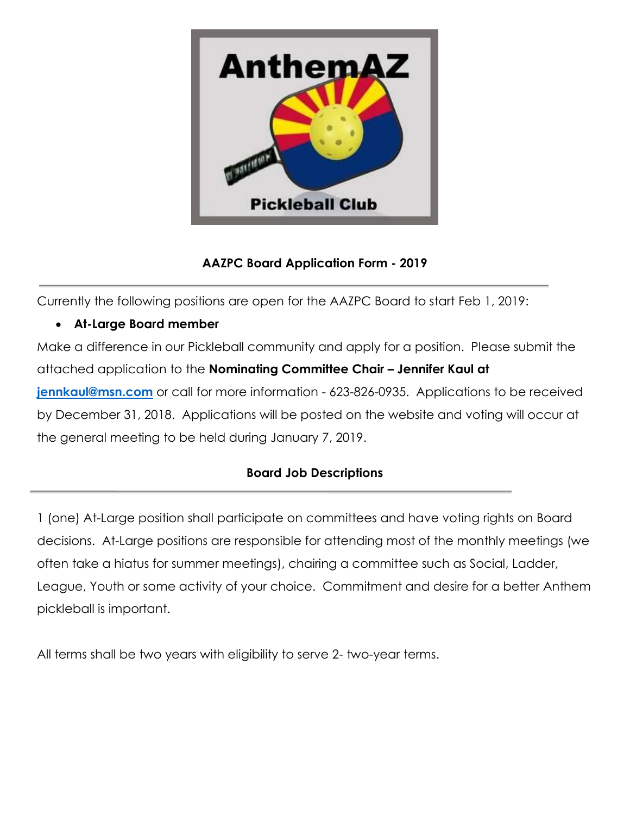

## **AAZPC Board Application Form - 2019**

Currently the following positions are open for the AAZPC Board to start Feb 1, 2019:

## • **At-Large Board member**

Make a difference in our Pickleball community and apply for a position. Please submit the attached application to the **Nominating Committee Chair – Jennifer Kaul at [jennkaul@msn.com](mailto:jennkaul@msn.com)** or call for more information - 623-826-0935. Applications to be received by December 31, 2018. Applications will be posted on the website and voting will occur at the general meeting to be held during January 7, 2019.

## **Board Job Descriptions**

1 (one) At-Large position shall participate on committees and have voting rights on Board decisions. At-Large positions are responsible for attending most of the monthly meetings (we often take a hiatus for summer meetings), chairing a committee such as Social, Ladder, League, Youth or some activity of your choice. Commitment and desire for a better Anthem pickleball is important.

All terms shall be two years with eligibility to serve 2- two-year terms.